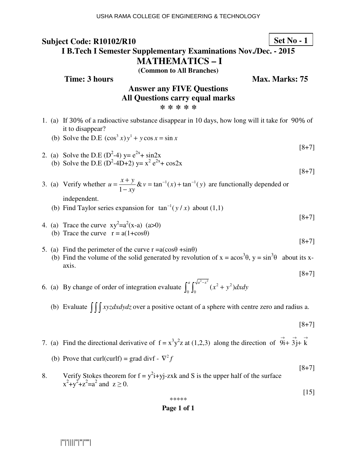## **Subject Code: R10102/R10 I B.Tech I Semester Supplementary Examinations Nov./Dec. - 2015 MATHEMATICS – I Set No - 1**

**(Common to All Branches)**

**Time: 3 hours** Max. Marks: 75

# **Answer any FIVE Questions All Questions carry equal marks \* \* \* \* \***

- 1. (a) If 30% of a radioactive substance disappear in 10 days, how long will it take for 90% of it to disappear?
	- (b) Solve the D.E  $(\cos^3 x) y^1 + y \cos x = \sin x$
- 2. (a) Solve the D.E ( $D^2-4$ ) y=  $e^{2x}$ + sin2x (b) Solve the D.E (D<sup>2</sup>-4D+2) y=  $x^2 e^{2x} + cos2x$

[8+7]

[8+7]

[8+7]

[8+7]

[8+7]

3. (a) Verify whether  $u = \frac{x+y}{1}$  &  $v = \tan^{-1}(x) + \tan^{-1}(y)$ 1  $u = \frac{x + y}{x} \& v = \tan^{-1}(x) + \tan^{-1}(y)$ *xy*  $=\frac{x+y}{x}$ & v = tan<sup>-1</sup>(x) + tan<sup>-1</sup>  $\frac{y}{-xy}$ & v = tan<sup>-1</sup>(x) + tan<sup>-1</sup>(y) are functionally depended or

independent.

- (b) Find Taylor series expansion for  $\tan^{-1}(y/x)$  about (1,1)
- 4. (a) Trace the curve  $xy^2=a^2(x-a)$  (a>0) (b) Trace the curve  $r = a(1 + \cos\theta)$
- 5. (a) Find the perimeter of the curve  $r = a(\cos\theta + \sin\theta)$ (b) Find the volume of the solid generated by revolution of  $x = a\cos^3\theta$ ,  $y = \sin^3\theta$  about its xaxis.

6. (a) By change of order of integration evaluate  $\int_{0}^{a} \int_{0}^{\sqrt{a^{2}-x^{2}}} (x^{2}+y^{2})$  $\int_0^a \int_0^{\sqrt{a^2-x^2}} (x^2+y^2) dx dy$ 

(b) Evaluate  $\iiint xyz dx dy dz$  over a positive octant of a sphere with centre zero and radius a.

[8+7]

[8+7]

[15]

- 7. (a) Find the directional derivative of  $f = x^3y^2z$  at (1,2,3) along the direction of  $\overrightarrow{9}i+\overrightarrow{3}j+\overrightarrow{6}i$ 3j  $\rightarrow$ k
	- (b) Prove that curl(curlf) = grad divf  $\nabla^2 f$
- 8. Verify Stokes theorem for  $f = y^2i + yj zxk$  and S is the upper half of the surface  $x^2+y^2+z^2=a^2$  and  $z \ge 0$ .

$$
* * * * *
$$

## **Page 1 of 1**

|''|'||||''|''|''''|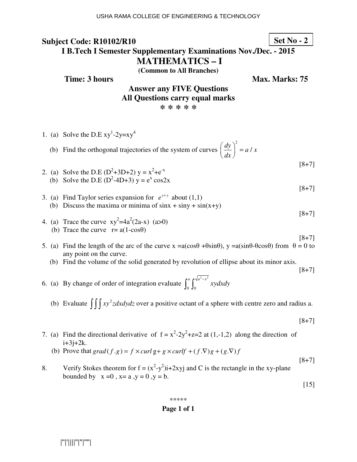# **Subject Code: R10102/R10**

# **Set No - 2**

# **I B.Tech I Semester Supplementary Examinations Nov./Dec. - 2015 MATHEMATICS – I**

**(Common to All Branches)**

**Time: 3 hours Max. Max. Marks: 75** 

# **Answer any FIVE Questions All Questions carry equal marks \* \* \* \* \***

- 1. (a) Solve the D.E  $xy^1-2y=xy^4$
- (b) Find the orthogonal trajectories of the system of curves 2  $\left(\frac{dy}{dx}\right)^2 = a/x$ *dx*  $\left(\frac{dy}{dx}\right)^2 =$
- 2. (a) Solve the D.E ( $D^2+3D+2$ )  $y = x^2 + e^{-x}$ (b) Solve the D.E  $(D^2-4D+3)$  y =  $e^x$  cos2x

[8+7]

[8+7]

[8+7]

[8+7]

[8+7]

- 3. (a) Find Taylor series expansion for  $e^{x+y}$  about (1,1) (b) Discuss the maxima or minima of  $sinx + siny + sin(x+y)$
- 4. (a) Trace the curve  $xy^2 = 4a^2(2a-x)$  (a>0) (b) Trace the curve  $r = a(1-\cos\theta)$
- 5. (a) Find the length of the arc of the curve  $x = a(\cos\theta + \sin\theta)$ ,  $y = a(\sin\theta \theta\cos\theta)$  from  $\theta = 0$  to any point on the curve.
	- (b) Find the volume of the solid generated by revolution of ellipse about its minor axis.

6. (a) By change of order of integration evaluate  $\int_{0}^{a} \int_{0}^{\sqrt{a^2-x^2}}$  $0\,$  J $0$  $\int_0^a \int_0^{\sqrt{a^2-x^2}} xy dx dy$ 

(b) Evaluate  $\iiint xy^2z dx dy dz$  over a positive octant of a sphere with centre zero and radius a.

[8+7]

- 7. (a) Find the directional derivative of  $f = x^2-2y^2+z=2$  at (1,-1,2) along the direction of  $i+3j+2k$ .
	- (b) Prove that  $grad(f.g) = f \times curl g + g \times curl f + (f.\nabla)g + (g.\nabla)f$
- 8. Verify Stokes theorem for  $f = (x^2-y^2)i+2xyj$  and C is the rectangle in the xy-plane bounded by  $x=0$ ,  $x=a$ ,  $y=0$ ,  $y=b$ .

[15]

[8+7]

#### \*\*\*\*\*

## **Page 1 of 1**

|''|'||||''|''|''''|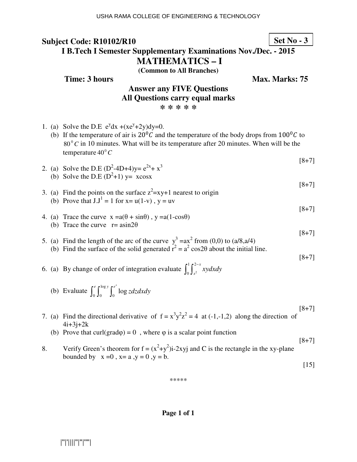# **Subject Code: R10102/R10**

**Set No - 3**

# **I B.Tech I Semester Supplementary Examinations Nov./Dec. - 2015 MATHEMATICS – I**

**(Common to All Branches)**

**Time: 3 hours Max. Max. Marks: 75** 

# **Answer any FIVE Questions All Questions carry equal marks \* \* \* \* \***

- 1. (a) Solve the D.E  $e^{y}dx + (xe^{y} + 2y)dy = 0$ .
- (b) If the temperature of air is  $20^{\circ}$ C and the temperature of the body drops from  $100^{\circ}$ C to  $80^{\circ}$ C in 10 minutes. What will be its temperature after 20 minutes. When will be the temperature 40<sup>°</sup> C
- [8+7] 2. (a) Solve the D.E  $(D^2-4D+4)y = e^{2x} + x^3$
- (b) Solve the D.E  $(D^2+1)$  y= xcosx
- 3. (a) Find the points on the surface  $z^2 = xy + 1$  nearest to origin (b) Prove that  $J.J^1 = 1$  for  $x = u(1-v)$ ,  $y = uv$
- 4. (a) Trace the curve  $x = a(\theta + \sin\theta)$ ,  $y = a(1-\cos\theta)$ (b) Trace the curve  $r = \text{asin}2\theta$

[8+7]

[8+7]

[8+7]

[8+7]

- 5. (a) Find the length of the arc of the curve  $y^3 = ax^2$  from (0,0) to (a/8,a/4) (b) Find the surface of the solid generated  $r^2 = a^2 \cos 2\theta$  about the initial line.
- 6. (a) By change of order of integration evaluate  $\int_0^1 \int_{x^2}^{2x}$  $\mathbf{0}$ *x*  $\int_0^1 \int_{x^2}^{2-x} xy dx dy$
- (b) Evaluate  $\int_{a}^{e} \int_{a}^{\log}$  $\int_0^e \int_0^{\log y} \int_0^{e^x} \log z dz dx dy$
- [8+7] 7. (a) Find the directional derivative of  $f = x^3y^2z^2 = 4$  at (-1,-1,2) along the direction of  $4i + 3j + 2k$ 
	- (b) Prove that curl(grad $\varphi$ ) = 0, where  $\varphi$  is a scalar point function
- [8+7] 8. Verify Green's theorem for  $f = (x^2+y^2)i-2xyj$  and C is the rectangle in the xy-plane bounded by  $x=0$ ,  $x=a$ ,  $y=0$ ,  $y=b$ .

[15]

\*\*\*\*\*

**Page 1 of 1**